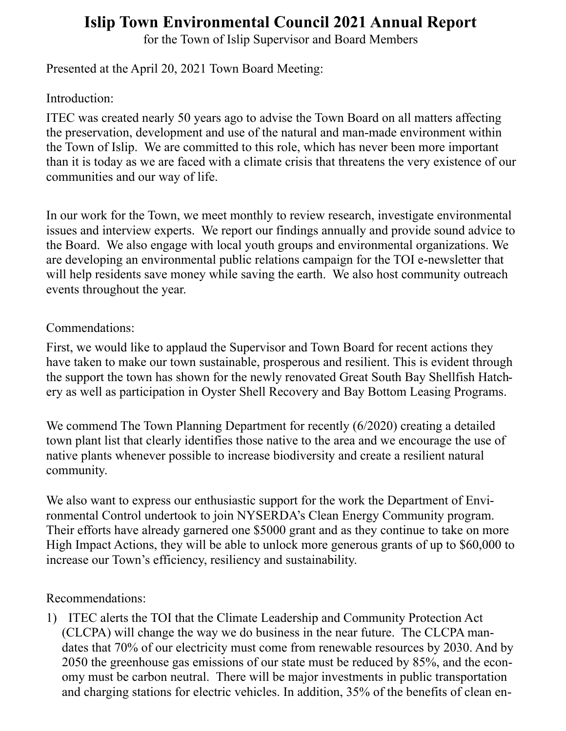## **Islip Town Environmental Council 2021 Annual Report**

for the Town of Islip Supervisor and Board Members

Presented at the April 20, 2021 Town Board Meeting:

Introduction:

ITEC was created nearly 50 years ago to advise the Town Board on all matters affecting the preservation, development and use of the natural and man-made environment within the Town of Islip. We are committed to this role, which has never been more important than it is today as we are faced with a climate crisis that threatens the very existence of our communities and our way of life.

In our work for the Town, we meet monthly to review research, investigate environmental issues and interview experts. We report our findings annually and provide sound advice to the Board. We also engage with local youth groups and environmental organizations. We are developing an environmental public relations campaign for the TOI e-newsletter that will help residents save money while saving the earth. We also host community outreach events throughout the year.

## Commendations:

First, we would like to applaud the Supervisor and Town Board for recent actions they have taken to make our town sustainable, prosperous and resilient. This is evident through the support the town has shown for the newly renovated Great South Bay Shellfish Hatchery as well as participation in Oyster Shell Recovery and Bay Bottom Leasing Programs.

We commend The Town Planning Department for recently (6/2020) creating a detailed town plant list that clearly identifies those native to the area and we encourage the use of native plants whenever possible to increase biodiversity and create a resilient natural community.

We also want to express our enthusiastic support for the work the Department of Environmental Control undertook to join NYSERDA's Clean Energy Community program. Their efforts have already garnered one \$5000 grant and as they continue to take on more High Impact Actions, they will be able to unlock more generous grants of up to \$60,000 to increase our Town's efficiency, resiliency and sustainability.

## Recommendations:

1) ITEC alerts the TOI that the Climate Leadership and Community Protection Act (CLCPA) will change the way we do business in the near future. The CLCPA mandates that 70% of our electricity must come from renewable resources by 2030. And by 2050 the greenhouse gas emissions of our state must be reduced by 85%, and the economy must be carbon neutral. There will be major investments in public transportation and charging stations for electric vehicles. In addition, 35% of the benefits of clean en-